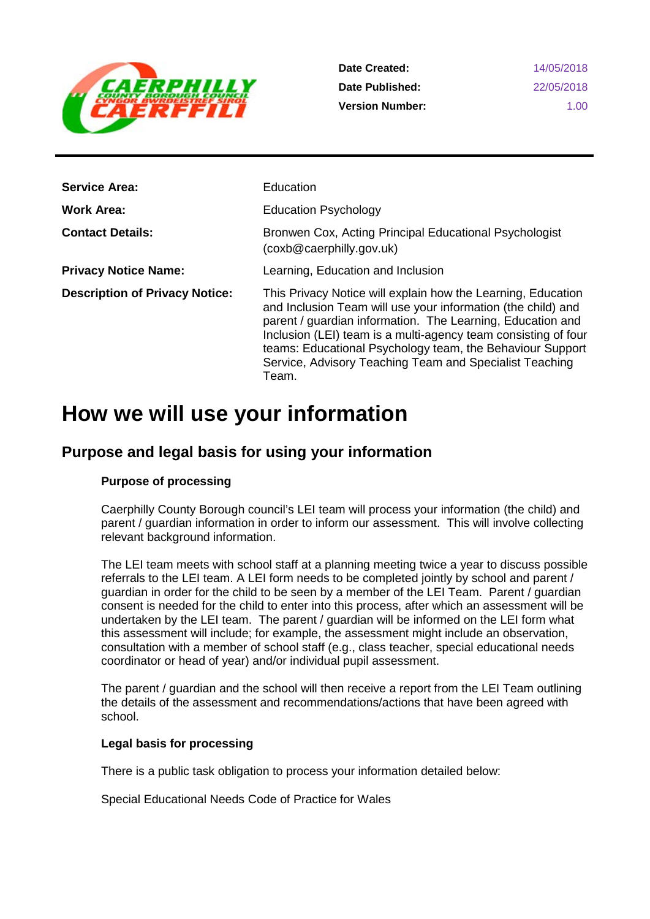

**Date Created: Date Published: Version Number:**

14/05/2018 22/05/2018 1.00

| <b>Service Area:</b>                  | Education                                                                                                                                                                                                                                                                                                                                                                                     |
|---------------------------------------|-----------------------------------------------------------------------------------------------------------------------------------------------------------------------------------------------------------------------------------------------------------------------------------------------------------------------------------------------------------------------------------------------|
| <b>Work Area:</b>                     | <b>Education Psychology</b>                                                                                                                                                                                                                                                                                                                                                                   |
| <b>Contact Details:</b>               | Bronwen Cox, Acting Principal Educational Psychologist<br>(coxb@cscript"                                                                                                                                                                                                                                                                                                                      |
| <b>Privacy Notice Name:</b>           | Learning, Education and Inclusion                                                                                                                                                                                                                                                                                                                                                             |
| <b>Description of Privacy Notice:</b> | This Privacy Notice will explain how the Learning, Education<br>and Inclusion Team will use your information (the child) and<br>parent / guardian information. The Learning, Education and<br>Inclusion (LEI) team is a multi-agency team consisting of four<br>teams: Educational Psychology team, the Behaviour Support<br>Service, Advisory Teaching Team and Specialist Teaching<br>Team. |

# **How we will use your information**

# **Purpose and legal basis for using your information**

### **Purpose of processing**

Caerphilly County Borough council's LEI team will process your information (the child) and parent / guardian information in order to inform our assessment. This will involve collecting relevant background information.

The LEI team meets with school staff at a planning meeting twice a year to discuss possible referrals to the LEI team. A LEI form needs to be completed jointly by school and parent / guardian in order for the child to be seen by a member of the LEI Team. Parent / guardian consent is needed for the child to enter into this process, after which an assessment will be undertaken by the LEI team. The parent / guardian will be informed on the LEI form what this assessment will include; for example, the assessment might include an observation, consultation with a member of school staff (e.g., class teacher, special educational needs coordinator or head of year) and/or individual pupil assessment.

The parent / guardian and the school will then receive a report from the LEI Team outlining the details of the assessment and recommendations/actions that have been agreed with school.

### **Legal basis for processing**

There is a public task obligation to process your information detailed below:

Special Educational Needs Code of Practice for Wales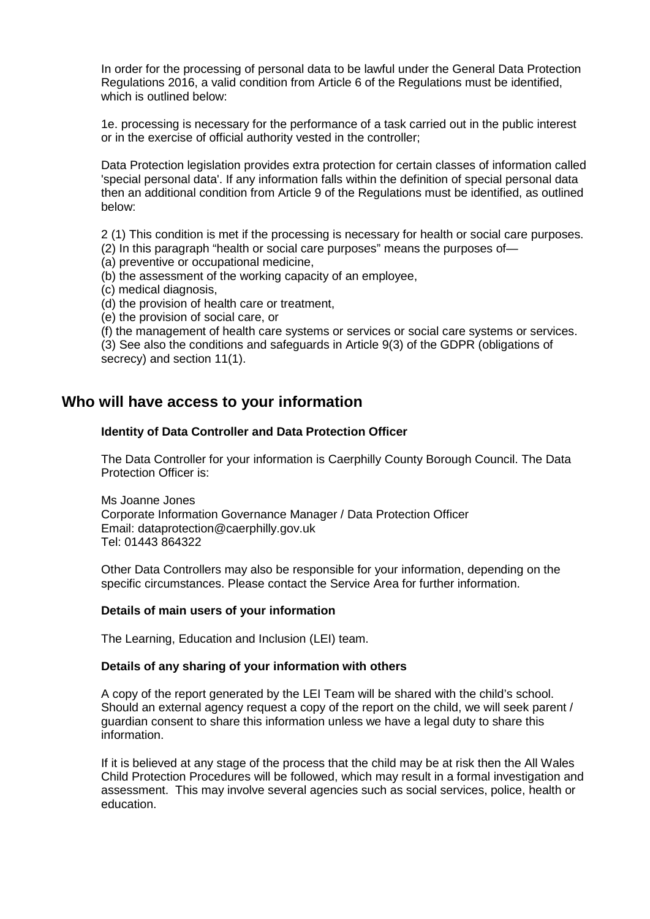In order for the processing of personal data to be lawful under the General Data Protection Regulations 2016, a valid condition from Article 6 of the Regulations must be identified, which is outlined below:

1e. processing is necessary for the performance of a task carried out in the public interest or in the exercise of official authority vested in the controller;

Data Protection legislation provides extra protection for certain classes of information called 'special personal data'. If any information falls within the definition of special personal data then an additional condition from Article 9 of the Regulations must be identified, as outlined below:

2 (1) This condition is met if the processing is necessary for health or social care purposes.

(2) In this paragraph "health or social care purposes" means the purposes of—

(a) preventive or occupational medicine,

(b) the assessment of the working capacity of an employee,

- (c) medical diagnosis,
- (d) the provision of health care or treatment,
- (e) the provision of social care, or

(f) the management of health care systems or services or social care systems or services. (3) See also the conditions and safeguards in Article 9(3) of the GDPR (obligations of secrecy) and section 11(1).

### **Who will have access to your information**

#### **Identity of Data Controller and Data Protection Officer**

The Data Controller for your information is Caerphilly County Borough Council. The Data Protection Officer is:

Ms Joanne Jones Corporate Information Governance Manager / Data Protection Officer Email: dataprotection@caerphilly.gov.uk Tel: 01443 864322

Other Data Controllers may also be responsible for your information, depending on the specific circumstances. Please contact the Service Area for further information.

#### **Details of main users of your information**

The Learning, Education and Inclusion (LEI) team.

#### **Details of any sharing of your information with others**

A copy of the report generated by the LEI Team will be shared with the child's school. Should an external agency request a copy of the report on the child, we will seek parent / guardian consent to share this information unless we have a legal duty to share this information.

If it is believed at any stage of the process that the child may be at risk then the All Wales Child Protection Procedures will be followed, which may result in a formal investigation and assessment. This may involve several agencies such as social services, police, health or education.